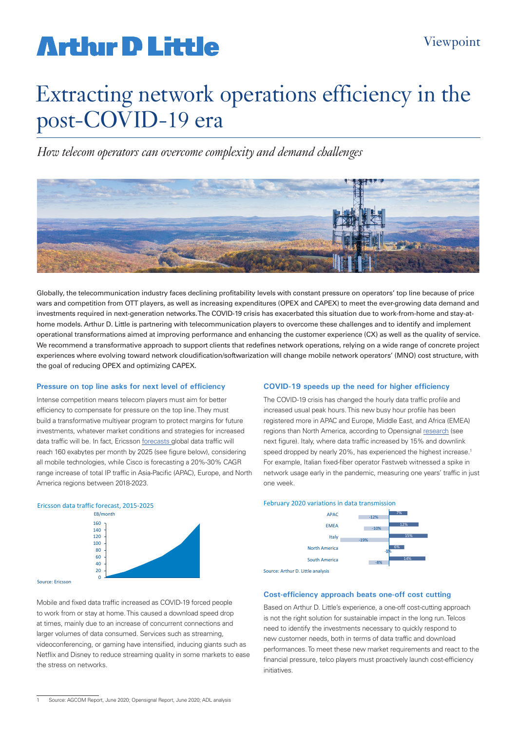# **Artlur D Little**

# Extracting network operations efficiency in the post-COVID-19 era

*How telecom operators can overcome complexity and demand challenges*



Globally, the telecommunication industry faces declining profitability levels with constant pressure on operators' top line because of price wars and competition from OTT players, as well as increasing expenditures (OPEX and CAPEX) to meet the ever-growing data demand and investments required in next-generation networks. The COVID-19 crisis has exacerbated this situation due to work-from-home and stay-athome models. Arthur D. Little is partnering with telecommunication players to overcome these challenges and to identify and implement operational transformations aimed at improving performance and enhancing the customer experience (CX) as well as the quality of service. We recommend a transformative approach to support clients that redefines network operations, relying on a wide range of concrete project experiences where evolving toward network cloudification/softwarization will change mobile network operators' (MNO) cost structure, with the goal of reducing OPEX and optimizing CAPEX.

## **Pressure on top line asks for next level of efficiency**

Intense competition means telecom players must aim for better efficiency to compensate for pressure on the top line. They must build a transformative multiyear program to protect margins for future investments, whatever market conditions and strategies for increased data traffic will be. In fact, Ericsson [forecasts](https://www.ericsson.com/en/press-releases/1/2020/mobile-data-traffic-in-sub-saharan-africa-to-grow-12-times-by-2025--ericsson-mobility-report) global data traffic will reach 160 exabytes per month by 2025 (see figure below), considering all mobile technologies, while Cisco is forecasting a 20%-30% CAGR range increase of total IP traffic in Asia-Pacific (APAC), Europe, and North America regions between 2018-2023.

## **COVID-19 speeds up the need for higher efficiency**

The COVID-19 crisis has changed the hourly data traffic profile and increased usual peak hours. This new busy hour profile has been registered more in APAC and Europe, Middle East, and Africa (EMEA) regions than North America, according to Opensignal [research](https://www.opensignal.com/2020/10/05/analyzing-mobile-data-consumption-and-experience-during-the-covid-19-pandemic) (see next figure). Italy, where data traffic increased by 15% and downlink speed dropped by nearly 20%, has experienced the highest increase.<sup>1</sup> For example, Italian fixed-fiber operator Fastweb witnessed a spike in network usage early in the pandemic, measuring one years' traffic in just one week.



#### Source: Ericsson

Mobile and fixed data traffic increased as COVID-19 forced people to work from or stay at home. This caused a download speed drop at times, mainly due to an increase of concurrent connections and larger volumes of data consumed. Services such as streaming, videoconferencing, or gaming have intensified, inducing giants such as Netflix and Disney to reduce streaming quality in some markets to ease the stress on networks.

### February 2020 variations in data transmission



#### **Cost-efficiency approach beats one-off cost cutting**

Based on Arthur D. Little's experience, a one-off cost-cutting approach is not the right solution for sustainable impact in the long run. Telcos need to identify the investments necessary to quickly respond to new customer needs, both in terms of data traffic and download performances. To meet these new market requirements and react to the financial pressure, telco players must proactively launch cost-efficiency initiatives.

<sup>1</sup> Source: AGCOM Report, June 2020; Opensignal Report, June 2020; ADL analysis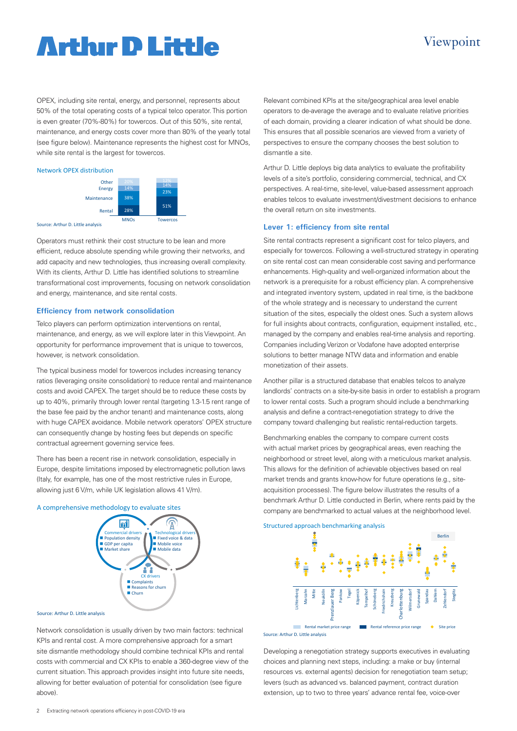# Viewpoint

# **Arthır D Little**

OPEX, including site rental, energy, and personnel, represents about 50% of the total operating costs of a typical telco operator. This portion is even greater (70%-80%) for towercos. Out of this 50%, site rental, maintenance, and energy costs cover more than 80% of the yearly total (see figure below). Maintenance represents the highest cost for MNOs, while site rental is the largest for towercos.

#### Network OPEX distribution



Operators must rethink their cost structure to be lean and more efficient, reduce absolute spending while growing their networks, and add capacity and new technologies, thus increasing overall complexity. With its clients, Arthur D. Little has identified solutions to streamline transformational cost improvements, focusing on network consolidation and energy, maintenance, and site rental costs.

#### **Efficiency from network consolidation**

Telco players can perform optimization interventions on rental, maintenance, and energy, as we will explore later in this Viewpoint. An opportunity for performance improvement that is unique to towercos, however, is network consolidation.

The typical business model for towercos includes increasing tenancy ratios (leveraging onsite consolidation) to reduce rental and maintenance costs and avoid CAPEX. The target should be to reduce these costs by up to 40%, primarily through lower rental (targeting 1.3-1.5 rent range of the base fee paid by the anchor tenant) and maintenance costs, along with huge CAPEX avoidance. Mobile network operators' OPEX structure can consequently change by hosting fees but depends on specific contractual agreement governing service fees.

There has been a recent rise in network consolidation, especially in Europe, despite limitations imposed by electromagnetic pollution laws (Italy, for example, has one of the most restrictive rules in Europe, allowing just 6 V/m, while UK legislation allows 41 V/m).

### A comprehensive methodology to evaluate sites



#### Source: Arthur D. Little analysis

Network consolidation is usually driven by two main factors: technical KPIs and rental cost. A more comprehensive approach for a smart site dismantle methodology should combine technical KPIs and rental costs with commercial and CX KPIs to enable a 360-degree view of the current situation. This approach provides insight into future site needs, allowing for better evaluation of potential for consolidation (see figure above).

Relevant combined KPIs at the site/geographical area level enable operators to de-average the average and to evaluate relative priorities of each domain, providing a clearer indication of what should be done. This ensures that all possible scenarios are viewed from a variety of perspectives to ensure the company chooses the best solution to dismantle a site.

Arthur D. Little deploys big data analytics to evaluate the profitability levels of a site's portfolio, considering commercial, technical, and CX perspectives. A real-time, site-level, value-based assessment approach enables telcos to evaluate investment/divestment decisions to enhance the overall return on site investments.

#### **Lever 1: efficiency from site rental**

Site rental contracts represent a significant cost for telco players, and especially for towercos. Following a well-structured strategy in operating on site rental cost can mean considerable cost saving and performance enhancements. High-quality and well-organized information about the network is a prerequisite for a robust efficiency plan. A comprehensive and integrated inventory system, updated in real time, is the backbone of the whole strategy and is necessary to understand the current situation of the sites, especially the oldest ones. Such a system allows for full insights about contracts, configuration, equipment installed, etc., managed by the company and enables real-time analysis and reporting. Companies including Verizon or Vodafone have adopted enterprise solutions to better manage NTW data and information and enable monetization of their assets.

Another pillar is a structured database that enables telcos to analyze landlords' contracts on a site-by-site basis in order to establish a program to lower rental costs. Such a program should include a benchmarking analysis and define a contract-renegotiation strategy to drive the company toward challenging but realistic rental-reduction targets.

Benchmarking enables the company to compare current costs with actual market prices by geographical areas, even reaching the neighborhood or street level, along with a meticulous market analysis. This allows for the definition of achievable objectives based on real market trends and grants know-how for future operations (e.g., siteacquisition processes). The figure below illustrates the results of a benchmark Arthur D. Little conducted in Berlin, where rents paid by the company are benchmarked to actual values at the neighborhood level.

#### Structured approach benchmarking analysis



Developing a renegotiation strategy supports executives in evaluating choices and planning next steps, including: a make or buy (internal resources vs. external agents) decision for renegotiation team setup; levers (such as advanced vs. balanced payment, contract duration extension, up to two to three years' advance rental fee, voice-over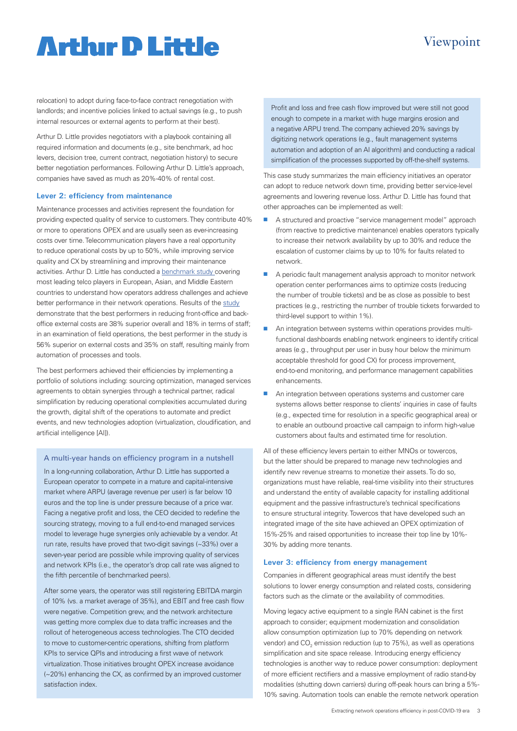# Viewpoint

# **Artlur D Little**

relocation) to adopt during face-to-face contract renegotiation with landlords; and incentive policies linked to actual savings (e.g., to push internal resources or external agents to perform at their best).

Arthur D. Little provides negotiators with a playbook containing all required information and documents (e.g., site benchmark, ad hoc levers, decision tree, current contract, negotiation history) to secure better negotiation performances. Following Arthur D. Little's approach, companies have saved as much as 20%-40% of rental cost.

#### **Lever 2: efficiency from maintenance**

Maintenance processes and activities represent the foundation for providing expected quality of service to customers. They contribute 40% or more to operations OPEX and are usually seen as ever-increasing costs over time. Telecommunication players have a real opportunity to reduce operational costs by up to 50%, while improving service quality and CX by streamlining and improving their maintenance activities. Arthur D. Little has conducted a [benchmark study](https://www.adlittle.com/en/insights/viewpoints/beyond-best-network-operations) covering most leading telco players in European, Asian, and Middle Eastern countries to understand how operators address challenges and achieve better performance in their network operations. Results of the [study](https://www.adlittle.com/en/insights/viewpoints/beyond-best-network-operations) demonstrate that the best performers in reducing front-office and backoffice external costs are 38% superior overall and 18% in terms of staff; in an examination of field operations, the best performer in the study is 56% superior on external costs and 35% on staff, resulting mainly from automation of processes and tools.

The best performers achieved their efficiencies by implementing a portfolio of solutions including: sourcing optimization, managed services agreements to obtain synergies through a technical partner, radical simplification by reducing operational complexities accumulated during the growth, digital shift of the operations to automate and predict events, and new technologies adoption (virtualization, cloudification, and artificial intelligence [AI]).

### A multi-year hands on efficiency program in a nutshell

In a long-running collaboration, Arthur D. Little has supported a European operator to compete in a mature and capital-intensive market where ARPU (average revenue per user) is far below 10 euros and the top line is under pressure because of a price war. Facing a negative profit and loss, the CEO decided to redefine the sourcing strategy, moving to a full end-to-end managed services model to leverage huge synergies only achievable by a vendor. At run rate, results have proved that two-digit savings (~33%) over a seven-year period are possible while improving quality of services and network KPIs (i.e., the operator's drop call rate was aligned to the fifth percentile of benchmarked peers).

After some years, the operator was still registering EBITDA margin of 10% (vs. a market average of 35%), and EBIT and free cash flow were negative. Competition grew, and the network architecture was getting more complex due to data traffic increases and the rollout of heterogeneous access technologies. The CTO decided to move to customer-centric operations, shifting from platform KPIs to service QPIs and introducing a first wave of network virtualization. Those initiatives brought OPEX increase avoidance (~20%) enhancing the CX, as confirmed by an improved customer satisfaction index.

Profit and loss and free cash flow improved but were still not good enough to compete in a market with huge margins erosion and a negative ARPU trend. The company achieved 20% savings by digitizing network operations (e.g., fault management systems automation and adoption of an AI algorithm) and conducting a radical simplification of the processes supported by off-the-shelf systems.

This case study summarizes the main efficiency initiatives an operator can adopt to reduce network down time, providing better service-level agreements and lowering revenue loss. Arthur D. Little has found that other approaches can be implemented as well:

- A structured and proactive "service management model" approach (from reactive to predictive maintenance) enables operators typically to increase their network availability by up to 30% and reduce the escalation of customer claims by up to 10% for faults related to network.
- $\blacksquare$  A periodic fault management analysis approach to monitor network operation center performances aims to optimize costs (reducing the number of trouble tickets) and be as close as possible to best practices (e.g., restricting the number of trouble tickets forwarded to third-level support to within 1%).
- An integration between systems within operations provides multifunctional dashboards enabling network engineers to identify critical areas (e.g., throughput per user in busy hour below the minimum acceptable threshold for good CX) for process improvement, end-to-end monitoring, and performance management capabilities enhancements.
- An integration between operations systems and customer care systems allows better response to clients' inquiries in case of faults (e.g., expected time for resolution in a specific geographical area) or to enable an outbound proactive call campaign to inform high-value customers about faults and estimated time for resolution.

All of these efficiency levers pertain to either MNOs or towercos, but the latter should be prepared to manage new technologies and identify new revenue streams to monetize their assets. To do so, organizations must have reliable, real-time visibility into their structures and understand the entity of available capacity for installing additional equipment and the passive infrastructure's technical specifications to ensure structural integrity. Towercos that have developed such an integrated image of the site have achieved an OPEX optimization of 15%-25% and raised opportunities to increase their top line by 10%- 30% by adding more tenants.

#### **Lever 3: efficiency from energy management**

Companies in different geographical areas must identify the best solutions to lower energy consumption and related costs, considering factors such as the climate or the availability of commodities.

Moving legacy active equipment to a single RAN cabinet is the first approach to consider; equipment modernization and consolidation allow consumption optimization (up to 70% depending on network vendor) and CO $_{\tiny 2}$  emission reduction (up to 75%), as well as operations simplification and site space release. Introducing energy efficiency technologies is another way to reduce power consumption: deployment of more efficient rectifiers and a massive employment of radio stand-by modalities (shutting down carriers) during off-peak hours can bring a 5%- 10% saving. Automation tools can enable the remote network operation